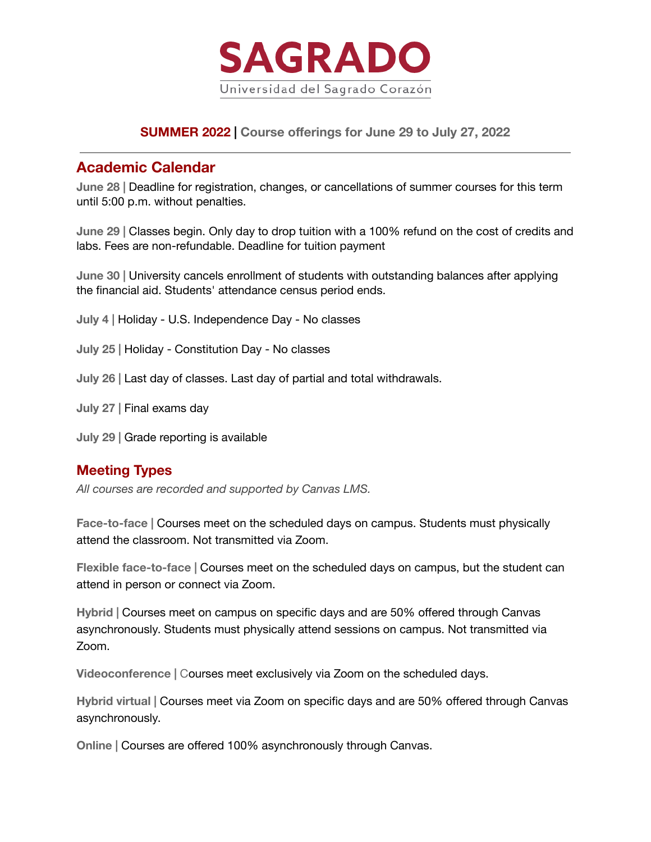

# **SUMMER 2022 | Course offerings for June 29 to July 27, 2022**

# **Academic Calendar**

**June 28 |** Deadline for registration, changes, or cancellations of summer courses for this term until 5:00 p.m. without penalties.

**June 29 |** Classes begin. Only day to drop tuition with a 100% refund on the cost of credits and labs. Fees are non-refundable. Deadline for tuition payment

**June 30 |** University cancels enrollment of students with outstanding balances after applying the financial aid. Students' attendance census period ends.

**July 4 |** Holiday - U.S. Independence Day - No classes

**July 25 |** Holiday - Constitution Day - No classes

**July 26 |** Last day of classes. Last day of partial and total withdrawals.

**July 27 |** Final exams day

**July 29 |** Grade reporting is available

# **Meeting Types**

*All courses are recorded and supported by Canvas LMS.*

**Face-to-face |** Courses meet on the scheduled days on campus. Students must physically attend the classroom. Not transmitted via Zoom.

**Flexible face-to-face |** Courses meet on the scheduled days on campus, but the student can attend in person or connect via Zoom.

**Hybrid |** Courses meet on campus on specific days and are 50% offered through Canvas asynchronously. Students must physically attend sessions on campus. Not transmitted via Zoom.

**Videoconference |** Courses meet exclusively via Zoom on the scheduled days.

**Hybrid virtual |** Courses meet via Zoom on specific days and are 50% offered through Canvas asynchronously.

**Online |** Courses are offered 100% asynchronously through Canvas.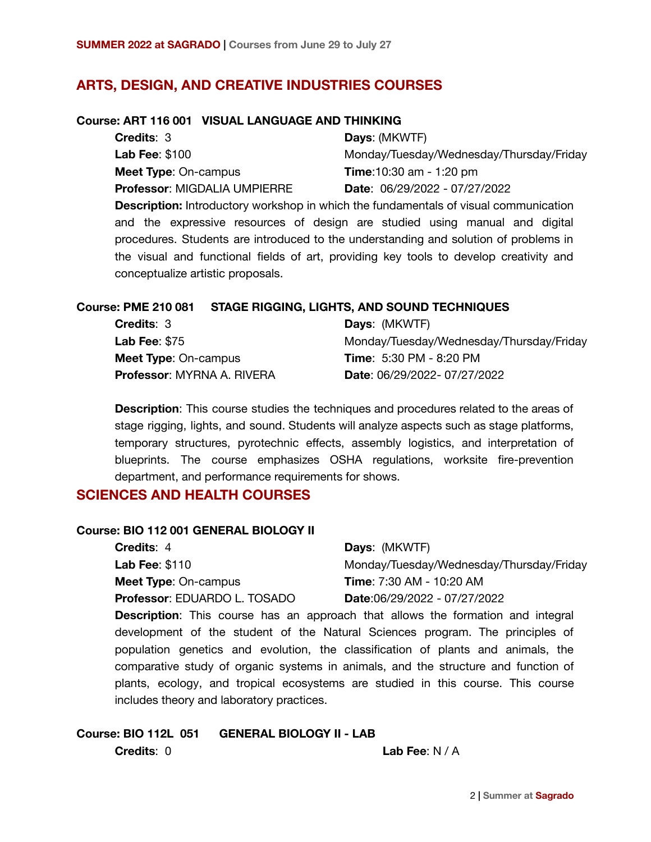# **ARTS, DESIGN, AND CREATIVE INDUSTRIES COURSES**

#### **Course: ART 116 001 VISUAL LANGUAGE AND THINKING**

| <b>Credits: 3</b>                   | Days: (MKWTF)                                                                               |
|-------------------------------------|---------------------------------------------------------------------------------------------|
| <b>Lab Fee: \$100</b>               | Monday/Tuesday/Wednesday/Thursday/Friday                                                    |
| <b>Meet Type: On-campus</b>         | <b>Time:</b> 10:30 am - 1:20 pm                                                             |
| <b>Professor: MIGDALIA UMPIERRE</b> | Date: 06/29/2022 - 07/27/2022                                                               |
|                                     | <b>Description:</b> Introductory workshop in which the fundamentals of visual communication |
|                                     | and the expressive resources of design are studied using manual and digital                 |
|                                     |                                                                                             |

procedures. Students are introduced to the understanding and solution of problems in the visual and functional fields of art, providing key tools to develop creativity and conceptualize artistic proposals.

#### **Course: PME 210 081 STAGE RIGGING, LIGHTS, AND SOUND TECHNIQUES**

| <b>Credits: 3</b>                 | <b>Days: (MKWTF)</b>                     |
|-----------------------------------|------------------------------------------|
| Lab Fee: $$75$                    | Monday/Tuesday/Wednesday/Thursday/Friday |
| <b>Meet Type: On-campus</b>       | <b>Time: 5:30 PM - 8:20 PM</b>           |
| <b>Professor: MYRNA A. RIVERA</b> | <b>Date: 06/29/2022-07/27/2022</b>       |

**Description**: This course studies the techniques and procedures related to the areas of stage rigging, lights, and sound. Students will analyze aspects such as stage platforms, temporary structures, pyrotechnic effects, assembly logistics, and interpretation of blueprints. The course emphasizes OSHA regulations, worksite fire-prevention department, and performance requirements for shows.

## **SCIENCES AND HEALTH COURSES**

### **Course: BIO 112 001 GENERAL BIOLOGY II**

| <b>Credits: 4</b>                   | <b>Days: (MKWTF)</b>                                                                    |
|-------------------------------------|-----------------------------------------------------------------------------------------|
| <b>Lab Fee: \$110</b>               | Monday/Tuesday/Wednesday/Thursday/Friday                                                |
| <b>Meet Type: On-campus</b>         | <b>Time:</b> 7:30 AM - 10:20 AM                                                         |
| <b>Professor: EDUARDO L. TOSADO</b> | Date:06/29/2022 - 07/27/2022                                                            |
|                                     | <b>Description</b> : This course has an approach that allows the formation and integral |

**Description**: This course has an approach that allows the formation and integral development of the student of the Natural Sciences program. The principles of population genetics and evolution, the classification of plants and animals, the comparative study of organic systems in animals, and the structure and function of plants, ecology, and tropical ecosystems are studied in this course. This course includes theory and laboratory practices.

# **Course: BIO 112L 051 GENERAL BIOLOGY II - LAB**

**Credits**: 0 **Lab Fee**: N / A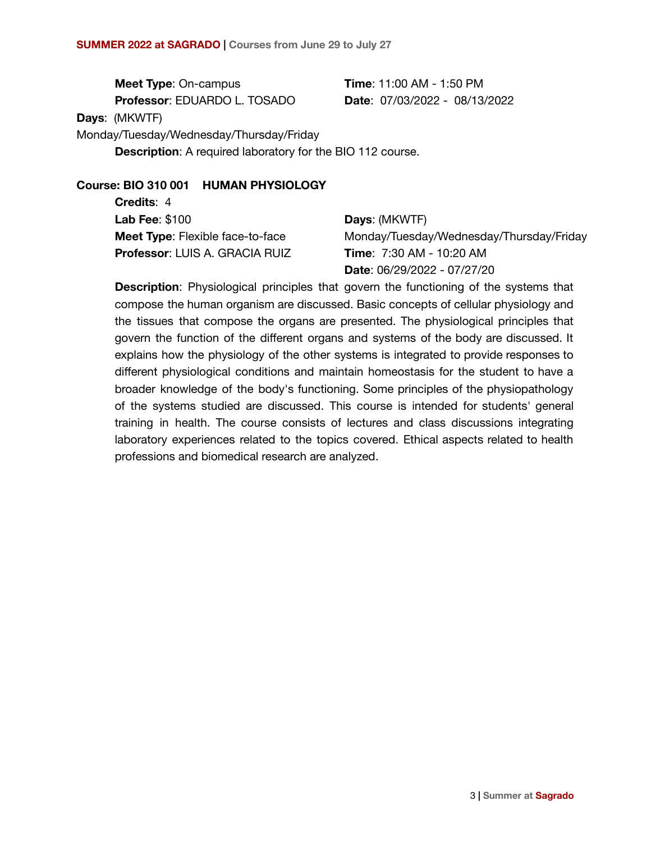**Meet Type**: On-campus

**Professor**: EDUARDO L. TOSADO

**Time**: 11:00 AM - 1:50 PM **Date**: 07/03/2022 - 08/13/2022

**Days**: (MKWTF)

Monday/Tuesday/Wednesday/Thursday/Friday

**Description**: A required laboratory for the BIO 112 course.

## **Course: BIO 310 001 HUMAN PHYSIOLOGY**

**Credits**: 4 **Lab Fee**: \$100 **Meet Type**: Flexible face-to-face **Professor**: LUIS A. GRACIA RUIZ

# **Days**: (MKWTF) Monday/Tuesday/Wednesday/Thursday/Friday **Time**: 7:30 AM - 10:20 AM **Date**: 06/29/2022 - 07/27/20

**Description**: Physiological principles that govern the functioning of the systems that compose the human organism are discussed. Basic concepts of cellular physiology and the tissues that compose the organs are presented. The physiological principles that govern the function of the different organs and systems of the body are discussed. It explains how the physiology of the other systems is integrated to provide responses to different physiological conditions and maintain homeostasis for the student to have a broader knowledge of the body's functioning. Some principles of the physiopathology of the systems studied are discussed. This course is intended for students' general training in health. The course consists of lectures and class discussions integrating laboratory experiences related to the topics covered. Ethical aspects related to health professions and biomedical research are analyzed.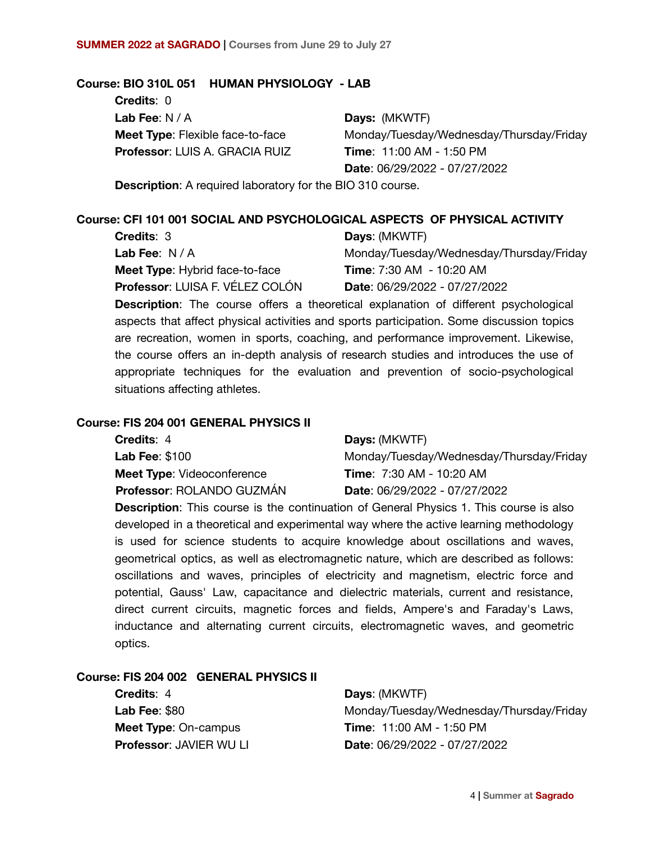### **Course: BIO 310L 051 HUMAN PHYSIOLOGY - LAB**

**Credits**: 0 **Lab Fee**: N / A **Meet Type**: Flexible face-to-face **Professor**: LUIS A. GRACIA RUIZ

**Days:** (MKWTF) Monday/Tuesday/Wednesday/Thursday/Friday **Time**: 11:00 AM - 1:50 PM **Date**: 06/29/2022 - 07/27/2022

**Description**: A required laboratory for the BIO 310 course.

### **Course: CFI 101 001 SOCIAL AND PSYCHOLOGICAL ASPECTS OF PHYSICAL ACTIVITY**

| <b>Credits: 3</b>                      | Days: (MKWTF)                            |
|----------------------------------------|------------------------------------------|
| Lab Fee: $N/A$                         | Monday/Tuesday/Wednesday/Thursday/Friday |
| <b>Meet Type:</b> Hybrid face-to-face  | <b>Time:</b> 7:30 AM - 10:20 AM          |
| <b>Professor: LUISA F. VÉLEZ COLÓN</b> | Date: 06/29/2022 - 07/27/2022            |

**Description**: The course offers a theoretical explanation of different psychological aspects that affect physical activities and sports participation. Some discussion topics are recreation, women in sports, coaching, and performance improvement. Likewise, the course offers an in-depth analysis of research studies and introduces the use of appropriate techniques for the evaluation and prevention of socio-psychological situations affecting athletes.

#### **Course: FIS 204 001 GENERAL PHYSICS II**

| <b>Credits: 4</b>                 | Days: (MKWTF)                            |
|-----------------------------------|------------------------------------------|
| <b>Lab Fee: \$100</b>             | Monday/Tuesday/Wednesday/Thursday/Friday |
| <b>Meet Type: Videoconference</b> | <b>Time: 7:30 AM - 10:20 AM</b>          |
| Professor: ROLANDO GUZMÁN         | Date: 06/29/2022 - 07/27/2022            |

**Description**: This course is the continuation of General Physics 1. This course is also developed in a theoretical and experimental way where the active learning methodology is used for science students to acquire knowledge about oscillations and waves, geometrical optics, as well as electromagnetic nature, which are described as follows: oscillations and waves, principles of electricity and magnetism, electric force and potential, Gauss' Law, capacitance and dielectric materials, current and resistance, direct current circuits, magnetic forces and fields, Ampere's and Faraday's Laws, inductance and alternating current circuits, electromagnetic waves, and geometric optics.

## **Course: FIS 204 002 GENERAL PHYSICS II**

**Credits**: 4 **Lab Fee**: \$80 **Meet Type**: On-campus **Professor: JAVIER WULLE** 

**Days**: (MKWTF) Monday/Tuesday/Wednesday/Thursday/Friday **Time**: 11:00 AM - 1:50 PM **Date**: 06/29/2022 - 07/27/2022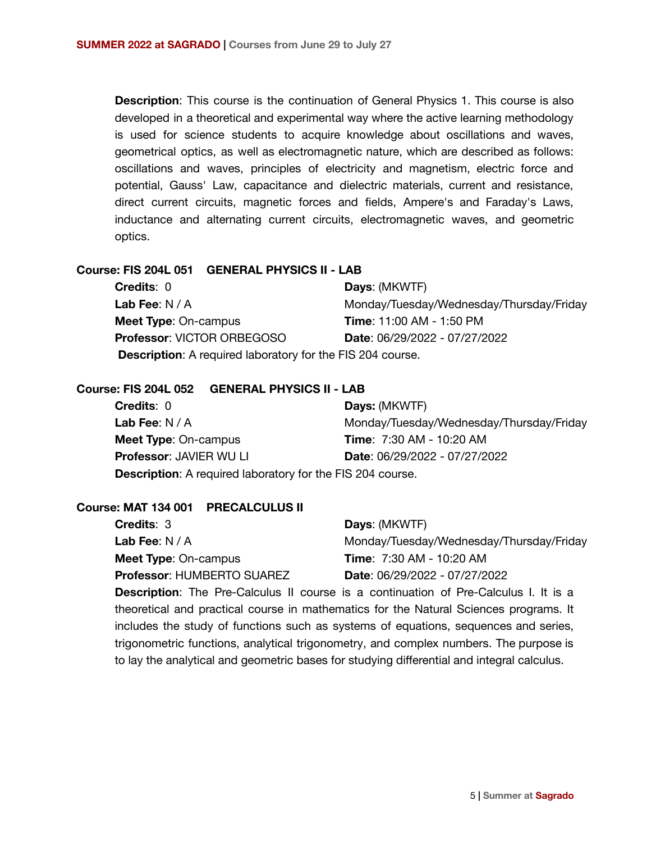**Description**: This course is the continuation of General Physics 1. This course is also developed in a theoretical and experimental way where the active learning methodology is used for science students to acquire knowledge about oscillations and waves, geometrical optics, as well as electromagnetic nature, which are described as follows: oscillations and waves, principles of electricity and magnetism, electric force and potential, Gauss' Law, capacitance and dielectric materials, current and resistance, direct current circuits, magnetic forces and fields, Ampere's and Faraday's Laws, inductance and alternating current circuits, electromagnetic waves, and geometric optics.

## **Course: FIS 204L 051 GENERAL PHYSICS II - LAB**

| <b>Credits: 0</b>                                                 | Days: (MKWTF)                            |
|-------------------------------------------------------------------|------------------------------------------|
| Lab Fee: $N/A$                                                    | Monday/Tuesday/Wednesday/Thursday/Friday |
| <b>Meet Type: On-campus</b>                                       | <b>Time: 11:00 AM - 1:50 PM</b>          |
| <b>Professor: VICTOR ORBEGOSO</b>                                 | <b>Date: 06/29/2022 - 07/27/2022</b>     |
| <b>Description:</b> A required laboratory for the FIS 204 course. |                                          |

#### **Course: FIS 204L 052 GENERAL PHYSICS II - LAB**

| <b>Credits: 0</b>                                                 | Days: (MKWTF)                            |
|-------------------------------------------------------------------|------------------------------------------|
| <b>Lab Fee:</b> $N/A$                                             | Monday/Tuesday/Wednesday/Thursday/Friday |
| <b>Meet Type: On-campus</b>                                       | <b>Time: 7:30 AM - 10:20 AM</b>          |
| <b>Professor: JAVIER WU LI</b>                                    | <b>Date: 06/29/2022 - 07/27/2022</b>     |
| <b>Description:</b> A required laboratory for the FIS 204 course. |                                          |

#### **Course: MAT 134 001 PRECALCULUS II**

| <b>Credits: 3</b>                 | Days: (MKWTF)                                                                               |
|-----------------------------------|---------------------------------------------------------------------------------------------|
| Lab Fee: $N/A$                    | Monday/Tuesday/Wednesday/Thursday/Friday                                                    |
| <b>Meet Type: On-campus</b>       | <b>Time: 7:30 AM - 10:20 AM</b>                                                             |
| <b>Professor: HUMBERTO SUAREZ</b> | Date: 06/29/2022 - 07/27/2022                                                               |
|                                   | <b>Description:</b> The Pre-Calculus II course is a continuation of Pre-Calculus I. It is a |

theoretical and practical course in mathematics for the Natural Sciences programs. It includes the study of functions such as systems of equations, sequences and series, trigonometric functions, analytical trigonometry, and complex numbers. The purpose is to lay the analytical and geometric bases for studying differential and integral calculus.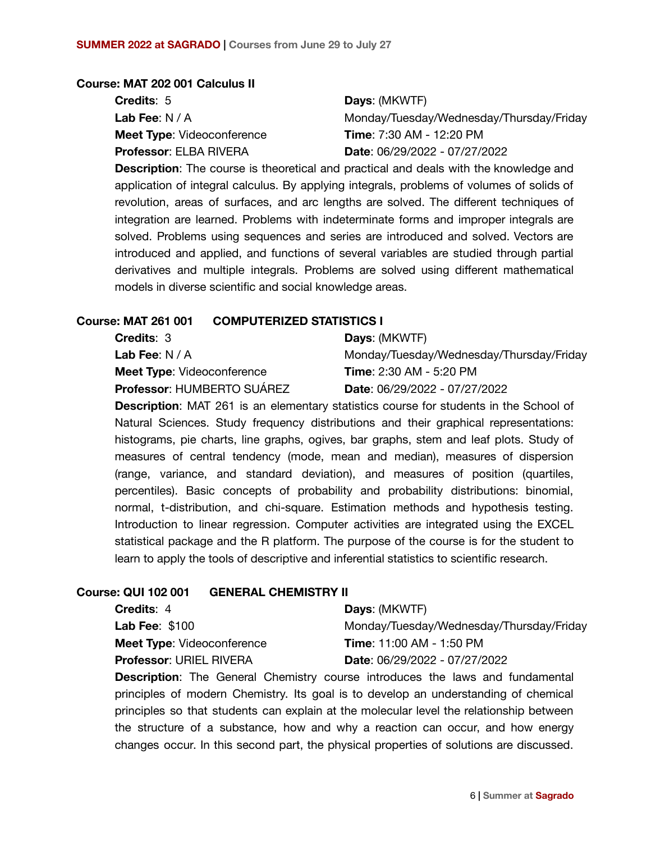### **Course: MAT 202 001 Calculus II**

| <b>Credits: 5</b>                 | Days: (MKWTF)                            |
|-----------------------------------|------------------------------------------|
| Lab Fee: $N/A$                    | Monday/Tuesday/Wednesday/Thursday/Friday |
| <b>Meet Type: Videoconference</b> | <b>Time:</b> 7:30 AM - 12:20 PM          |
| <b>Professor: ELBA RIVERA</b>     | Date: 06/29/2022 - 07/27/2022            |

**Description**: The course is theoretical and practical and deals with the knowledge and application of integral calculus. By applying integrals, problems of volumes of solids of revolution, areas of surfaces, and arc lengths are solved. The different techniques of integration are learned. Problems with indeterminate forms and improper integrals are solved. Problems using sequences and series are introduced and solved. Vectors are introduced and applied, and functions of several variables are studied through partial derivatives and multiple integrals. Problems are solved using different mathematical models in diverse scientific and social knowledge areas.

### **Course: MAT 261 001 COMPUTERIZED STATISTICS I**

| <b>Credits: 3</b>                 | <b>Days: (MKWTF)</b>                     |
|-----------------------------------|------------------------------------------|
| Lab Fee: $N/A$                    | Monday/Tuesday/Wednesday/Thursday/Friday |
| <b>Meet Type: Videoconference</b> | <b>Time: 2:30 AM - 5:20 PM</b>           |
| Professor: HUMBERTO SUÁREZ        | <b>Date: 06/29/2022 - 07/27/2022</b>     |

**Description**: MAT 261 is an elementary statistics course for students in the School of Natural Sciences. Study frequency distributions and their graphical representations: histograms, pie charts, line graphs, ogives, bar graphs, stem and leaf plots. Study of measures of central tendency (mode, mean and median), measures of dispersion (range, variance, and standard deviation), and measures of position (quartiles, percentiles). Basic concepts of probability and probability distributions: binomial, normal, t-distribution, and chi-square. Estimation methods and hypothesis testing. Introduction to linear regression. Computer activities are integrated using the EXCEL statistical package and the R platform. The purpose of the course is for the student to learn to apply the tools of descriptive and inferential statistics to scientific research.

### **Course: QUI 102 001 GENERAL CHEMISTRY II**

| <b>Credits: 4</b>                 | <b>Days: (MKWTF)</b>                     |
|-----------------------------------|------------------------------------------|
| Lab Fee: $$100$                   | Monday/Tuesday/Wednesday/Thursday/Friday |
| <b>Meet Type: Videoconference</b> | <b>Time: 11:00 AM - 1:50 PM</b>          |
| <b>Professor: URIEL RIVERA</b>    | <b>Date: 06/29/2022 - 07/27/2022</b>     |

**Description**: The General Chemistry course introduces the laws and fundamental principles of modern Chemistry. Its goal is to develop an understanding of chemical principles so that students can explain at the molecular level the relationship between the structure of a substance, how and why a reaction can occur, and how energy changes occur. In this second part, the physical properties of solutions are discussed.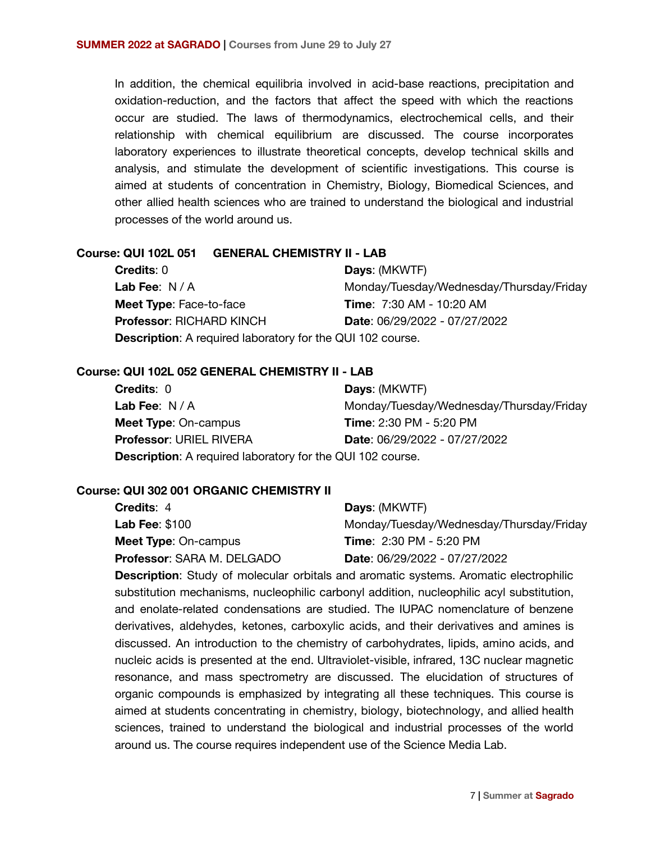In addition, the chemical equilibria involved in acid-base reactions, precipitation and oxidation-reduction, and the factors that affect the speed with which the reactions occur are studied. The laws of thermodynamics, electrochemical cells, and their relationship with chemical equilibrium are discussed. The course incorporates laboratory experiences to illustrate theoretical concepts, develop technical skills and analysis, and stimulate the development of scientific investigations. This course is aimed at students of concentration in Chemistry, Biology, Biomedical Sciences, and other allied health sciences who are trained to understand the biological and industrial processes of the world around us.

### **Course: QUI 102L 051 GENERAL CHEMISTRY II - LAB**

| <b>Credits: 0</b>                                                 | Days: (MKWTF)                            |
|-------------------------------------------------------------------|------------------------------------------|
| Lab Fee: $N/A$                                                    | Monday/Tuesday/Wednesday/Thursday/Friday |
| <b>Meet Type: Face-to-face</b>                                    | <b>Time: 7:30 AM - 10:20 AM</b>          |
| <b>Professor: RICHARD KINCH</b>                                   | Date: 06/29/2022 - 07/27/2022            |
| <b>Description:</b> A required laboratory for the QUI 102 course. |                                          |

### **Course: QUI 102L 052 GENERAL CHEMISTRY II - LAB**

| <b>Credits: 0</b>                                                 | Days: (MKWTF)                            |
|-------------------------------------------------------------------|------------------------------------------|
| Lab Fee: $N/A$                                                    | Monday/Tuesday/Wednesday/Thursday/Friday |
| <b>Meet Type: On-campus</b>                                       | <b>Time: 2:30 PM - 5:20 PM</b>           |
| <b>Professor: URIEL RIVERA</b>                                    | Date: 06/29/2022 - 07/27/2022            |
| <b>Description:</b> A required laboratory for the QUI 102 course. |                                          |

#### **Course: QUI 302 001 ORGANIC CHEMISTRY II**

| <b>Credits: 4</b>                 | <b>Days: (MKWTF)</b>                     |
|-----------------------------------|------------------------------------------|
| <b>Lab Fee: \$100</b>             | Monday/Tuesday/Wednesday/Thursday/Friday |
| <b>Meet Type: On-campus</b>       | <b>Time: 2:30 PM - 5:20 PM</b>           |
| <b>Professor: SARA M. DELGADO</b> | <b>Date: 06/29/2022 - 07/27/2022</b>     |

**Description**: Study of molecular orbitals and aromatic systems. Aromatic electrophilic substitution mechanisms, nucleophilic carbonyl addition, nucleophilic acyl substitution, and enolate-related condensations are studied. The IUPAC nomenclature of benzene derivatives, aldehydes, ketones, carboxylic acids, and their derivatives and amines is discussed. An introduction to the chemistry of carbohydrates, lipids, amino acids, and nucleic acids is presented at the end. Ultraviolet-visible, infrared, 13C nuclear magnetic resonance, and mass spectrometry are discussed. The elucidation of structures of organic compounds is emphasized by integrating all these techniques. This course is aimed at students concentrating in chemistry, biology, biotechnology, and allied health sciences, trained to understand the biological and industrial processes of the world around us. The course requires independent use of the Science Media Lab.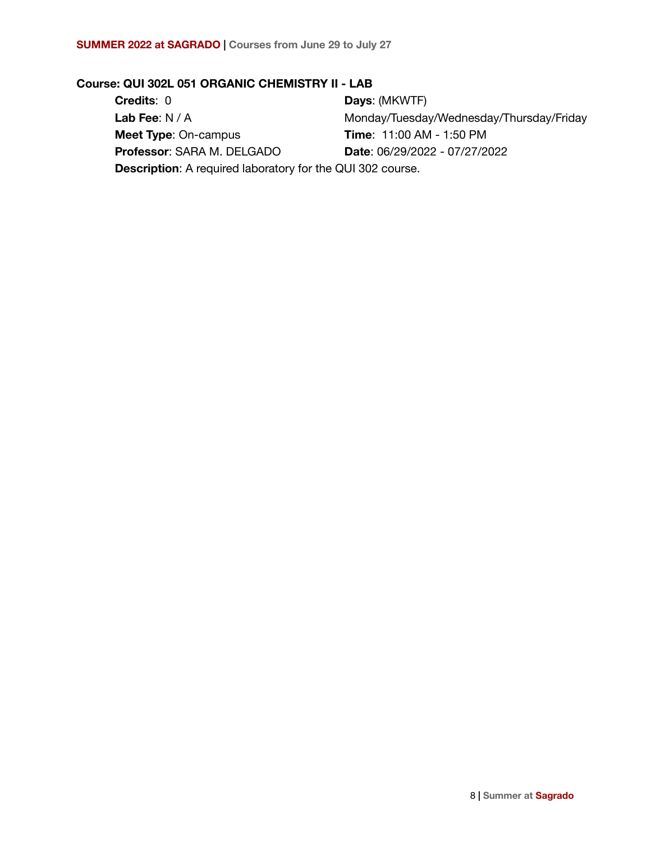# **Course: QUI 302L 051 ORGANIC CHEMISTRY II - LAB**

| <b>Credits: 0</b>                                                 | Days: (MKWTF)                            |
|-------------------------------------------------------------------|------------------------------------------|
| Lab Fee: $N/A$                                                    | Monday/Tuesday/Wednesday/Thursday/Friday |
| <b>Meet Type: On-campus</b>                                       | <b>Time: 11:00 AM - 1:50 PM</b>          |
| Professor: SARA M. DELGADO                                        | Date: 06/29/2022 - 07/27/2022            |
| <b>Description:</b> A required laboratory for the QUI 302 course. |                                          |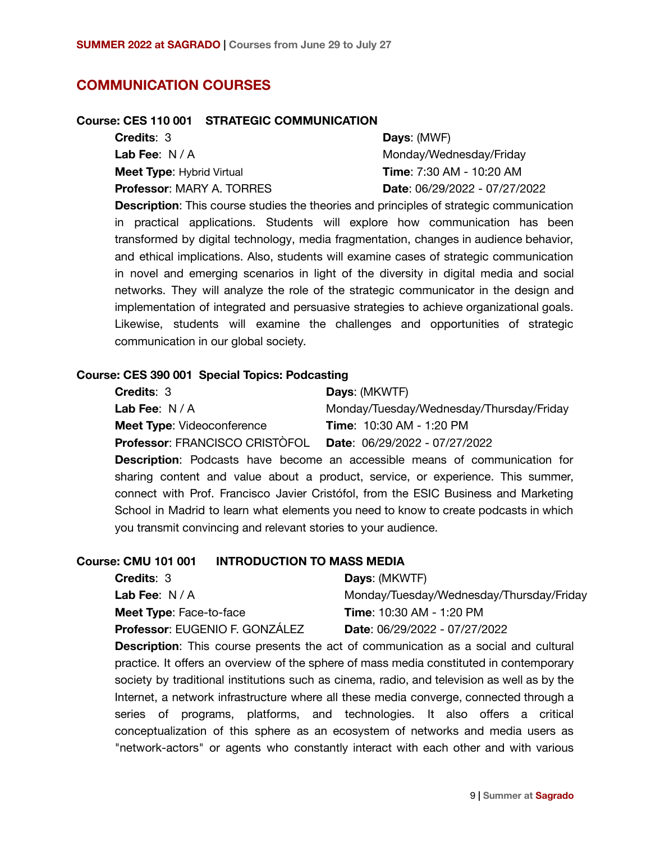## **COMMUNICATION COURSES**

### **Course: CES 110 001 STRATEGIC COMMUNICATION**

| <b>Credits: 3</b>                | <b>Days: (MWF)</b>                   |
|----------------------------------|--------------------------------------|
| <b>Lab Fee</b> : N / A           | Monday/Wednesday/Friday              |
| <b>Meet Type: Hybrid Virtual</b> | <b>Time</b> : 7:30 AM - 10:20 AM     |
| Professor: MARY A. TORRES        | <b>Date: 06/29/2022 - 07/27/2022</b> |

**Description**: This course studies the theories and principles of strategic communication in practical applications. Students will explore how communication has been transformed by digital technology, media fragmentation, changes in audience behavior, and ethical implications. Also, students will examine cases of strategic communication in novel and emerging scenarios in light of the diversity in digital media and social networks. They will analyze the role of the strategic communicator in the design and implementation of integrated and persuasive strategies to achieve organizational goals. Likewise, students will examine the challenges and opportunities of strategic communication in our global society.

### **Course: CES 390 001 Special Topics: Podcasting**

| <b>Credits: 3</b>                     | <b>Days: (MKWTF)</b>                                                       |
|---------------------------------------|----------------------------------------------------------------------------|
| Lab Fee: $N/A$                        | Monday/Tuesday/Wednesday/Thursday/Friday                                   |
| <b>Meet Type: Videoconference</b>     | <b>Time: 10:30 AM - 1:20 PM</b>                                            |
| <b>Professor: FRANCISCO CRISTÒFOL</b> | Date: 06/29/2022 - 07/27/2022                                              |
|                                       | ■ considered ■ description because the construction of a consideration for |

**Description**: Podcasts have become an accessible means of communication for sharing content and value about a product, service, or experience. This summer, connect with Prof. Francisco Javier Cristófol, from the ESIC Business and Marketing School in Madrid to learn what elements you need to know to create podcasts in which you transmit convincing and relevant stories to your audience.

## **Course: CMU 101 001 INTRODUCTION TO MASS MEDIA**

| <b>Credits: 3</b>                     | <b>Days: (MKWTF)</b>                     |
|---------------------------------------|------------------------------------------|
| Lab Fee: $N/A$                        | Monday/Tuesday/Wednesday/Thursday/Friday |
| <b>Meet Type: Face-to-face</b>        | <b>Time: 10:30 AM - 1:20 PM</b>          |
| <b>Professor: EUGENIO F. GONZÁLEZ</b> | <b>Date: 06/29/2022 - 07/27/2022</b>     |

**Description**: This course presents the act of communication as a social and cultural practice. It offers an overview of the sphere of mass media constituted in contemporary society by traditional institutions such as cinema, radio, and television as well as by the Internet, a network infrastructure where all these media converge, connected through a series of programs, platforms, and technologies. It also offers a critical conceptualization of this sphere as an ecosystem of networks and media users as "network-actors" or agents who constantly interact with each other and with various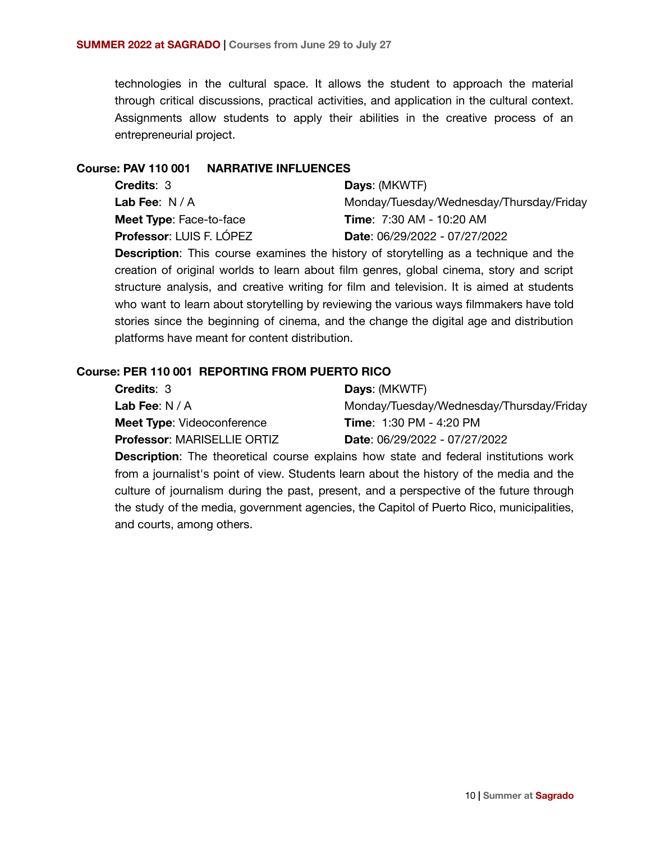technologies in the cultural space. It allows the student to approach the material through critical discussions, practical activities, and application in the cultural context. Assignments allow students to apply their abilities in the creative process of an entrepreneurial project.

#### **Course: PAV 110 001 NARRATIVE INFLUENCES**

| <b>Credits: 3</b>               | <b>Days: (MKWTF)</b>                     |
|---------------------------------|------------------------------------------|
| <b>Lab Fee</b> : N / A          | Monday/Tuesday/Wednesday/Thursday/Friday |
| <b>Meet Type:</b> Face-to-face  | <b>Time: 7:30 AM - 10:20 AM</b>          |
| <b>Professor: LUIS F. LÓPEZ</b> | <b>Date: 06/29/2022 - 07/27/2022</b>     |
|                                 |                                          |

**Description**: This course examines the history of storytelling as a technique and the creation of original worlds to learn about film genres, global cinema, story and script structure analysis, and creative writing for film and television. It is aimed at students who want to learn about storytelling by reviewing the various ways filmmakers have told stories since the beginning of cinema, and the change the digital age and distribution platforms have meant for content distribution.

### **Course: PER 110 001 REPORTING FROM PUERTO RICO**

| <b>Days: (MKWTF)</b>                     |
|------------------------------------------|
| Monday/Tuesday/Wednesday/Thursday/Friday |
| <b>Time: 1:30 PM - 4:20 PM</b>           |
| <b>Date: 06/29/2022 - 07/27/2022</b>     |
|                                          |

**Description**: The theoretical course explains how state and federal institutions work from a journalist's point of view. Students learn about the history of the media and the culture of journalism during the past, present, and a perspective of the future through the study of the media, government agencies, the Capitol of Puerto Rico, municipalities, and courts, among others.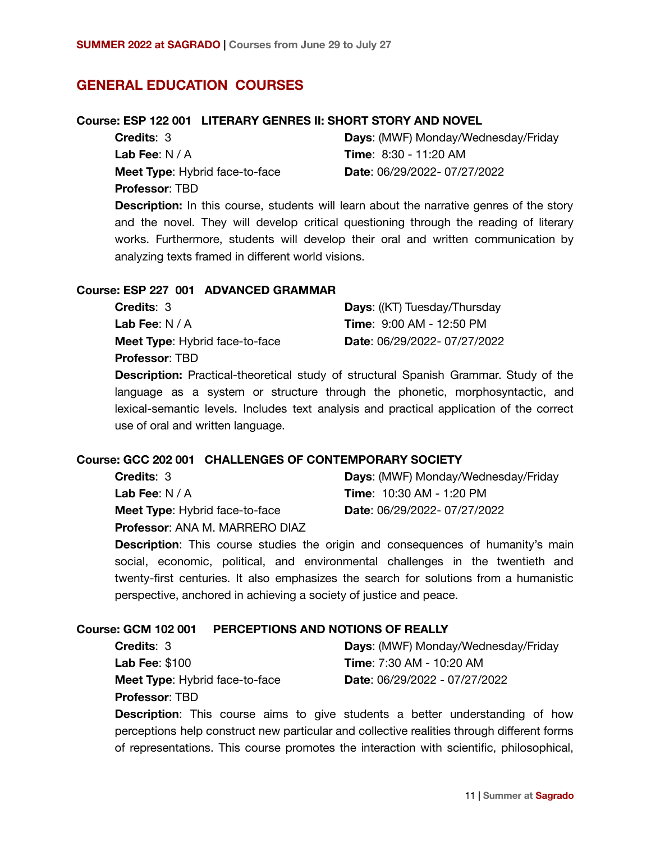# **GENERAL EDUCATION COURSES**

#### **Course: ESP 122 001 LITERARY GENRES II: SHORT STORY AND NOVEL**

| <b>Credits: 3</b>                     |  |
|---------------------------------------|--|
| Lab Fee: $N/A$                        |  |
| <b>Meet Type:</b> Hybrid face-to-face |  |
| <b>Professor: TBD</b>                 |  |

**Days**: (MWF) Monday/Wednesday/Friday **Time**: 8:30 - 11:20 AM **Date**: 06/29/2022- 07/27/2022

**Description:** In this course, students will learn about the narrative genres of the story and the novel. They will develop critical questioning through the reading of literary works. Furthermore, students will develop their oral and written communication by analyzing texts framed in different world visions.

#### **Course: ESP 227 001 ADVANCED GRAMMAR**

| <b>Credits: 3</b>                     | <b>Days:</b> ((KT) Tuesday/Thursday |
|---------------------------------------|-------------------------------------|
| <b>Lab Fee:</b> $N/A$                 | <b>Time: 9:00 AM - 12:50 PM</b>     |
| <b>Meet Type:</b> Hybrid face-to-face | Date: 06/29/2022-07/27/2022         |
| <b>Professor: TBD</b>                 |                                     |

**Description:** Practical-theoretical study of structural Spanish Grammar. Study of the language as a system or structure through the phonetic, morphosyntactic, and lexical-semantic levels. Includes text analysis and practical application of the correct use of oral and written language.

#### **Course: GCC 202 001 CHALLENGES OF CONTEMPORARY SOCIETY**

| <b>Credits: 3</b>                     | Days: (MWF) Monday/Wednesday/Friday |
|---------------------------------------|-------------------------------------|
| <b>Lab Fee:</b> $N/A$                 | <b>Time: 10:30 AM - 1:20 PM</b>     |
| <b>Meet Type:</b> Hybrid face-to-face | <b>Date: 06/29/2022-07/27/2022</b>  |
| <b>Professor: ANA M. MARRERO DIAZ</b> |                                     |

**Description:** This course studies the origin and consequences of humanity's main social, economic, political, and environmental challenges in the twentieth and twenty-first centuries. It also emphasizes the search for solutions from a humanistic perspective, anchored in achieving a society of justice and peace.

## **Course: GCM 102 001 PERCEPTIONS AND NOTIONS OF REALLY**

**Credits**: 3 **Lab Fee**: \$100 **Meet Type**: Hybrid face-to-face **Professor**: TBD

**Days**: (MWF) Monday/Wednesday/Friday **Time**: 7:30 AM - 10:20 AM **Date**: 06/29/2022 - 07/27/2022

**Description**: This course aims to give students a better understanding of how perceptions help construct new particular and collective realities through different forms of representations. This course promotes the interaction with scientific, philosophical,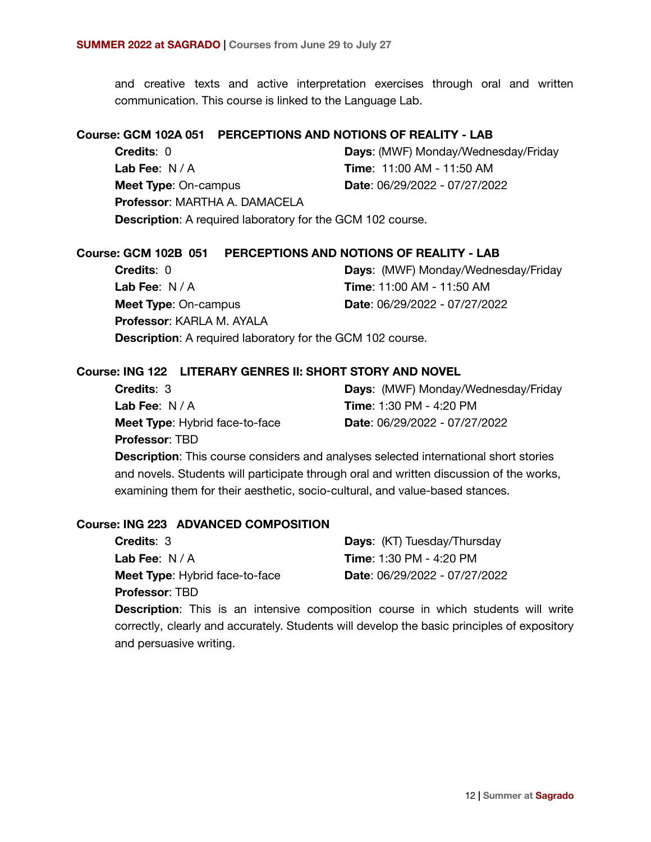and creative texts and active interpretation exercises through oral and written communication. This course is linked to the Language Lab.

### **Course: GCM 102A 051 PERCEPTIONS AND NOTIONS OF REALITY - LAB**

**Credits**: 0 **Lab Fee**: N / A **Meet Type**: On-campus **Professor**: MARTHA A. DAMACELA **Days**: (MWF) Monday/Wednesday/Friday **Time**: 11:00 AM - 11:50 AM **Date**: 06/29/2022 - 07/27/2022 **Description**: A required laboratory for the GCM 102 course.

## **Course: GCM 102B 051 PERCEPTIONS AND NOTIONS OF REALITY - LAB**

| <b>Credits: 0</b>                                                 | <b>Days: (MWF) Monday/Wednesday/Friday</b> |
|-------------------------------------------------------------------|--------------------------------------------|
| Lab Fee: $N/A$                                                    | Time: 11:00 AM - 11:50 AM                  |
| <b>Meet Type: On-campus</b>                                       | Date: 06/29/2022 - 07/27/2022              |
| <b>Professor: KARLA M. AYALA</b>                                  |                                            |
| <b>Description:</b> A required laboratory for the GCM 102 course. |                                            |

#### **Course: ING 122 LITERARY GENRES II: SHORT STORY AND NOVEL**

| <b>Credits: 3</b>                     | Days: (MWF) Monday/Wednesday/Friday  |
|---------------------------------------|--------------------------------------|
| Lab Fee: $N/A$                        | <b>Time: 1:30 PM - 4:20 PM</b>       |
| <b>Meet Type:</b> Hybrid face-to-face | <b>Date: 06/29/2022 - 07/27/2022</b> |
| <b>Professor: TBD</b>                 |                                      |

**Description**: This course considers and analyses selected international short stories and novels. Students will participate through oral and written discussion of the works, examining them for their aesthetic, socio-cultural, and value-based stances.

### **Course: ING 223 ADVANCED COMPOSITION**

| <b>Credits: 3</b>                     | <b>Days: (KT) Tuesday/Thursday</b> |
|---------------------------------------|------------------------------------|
| Lab Fee: $N/A$                        | <b>Time: 1:30 PM - 4:20 PM</b>     |
| <b>Meet Type:</b> Hybrid face-to-face | Date: 06/29/2022 - 07/27/2022      |
| <b>Professor: TBD</b>                 |                                    |

**Description**: This is an intensive composition course in which students will write correctly, clearly and accurately. Students will develop the basic principles of expository and persuasive writing.